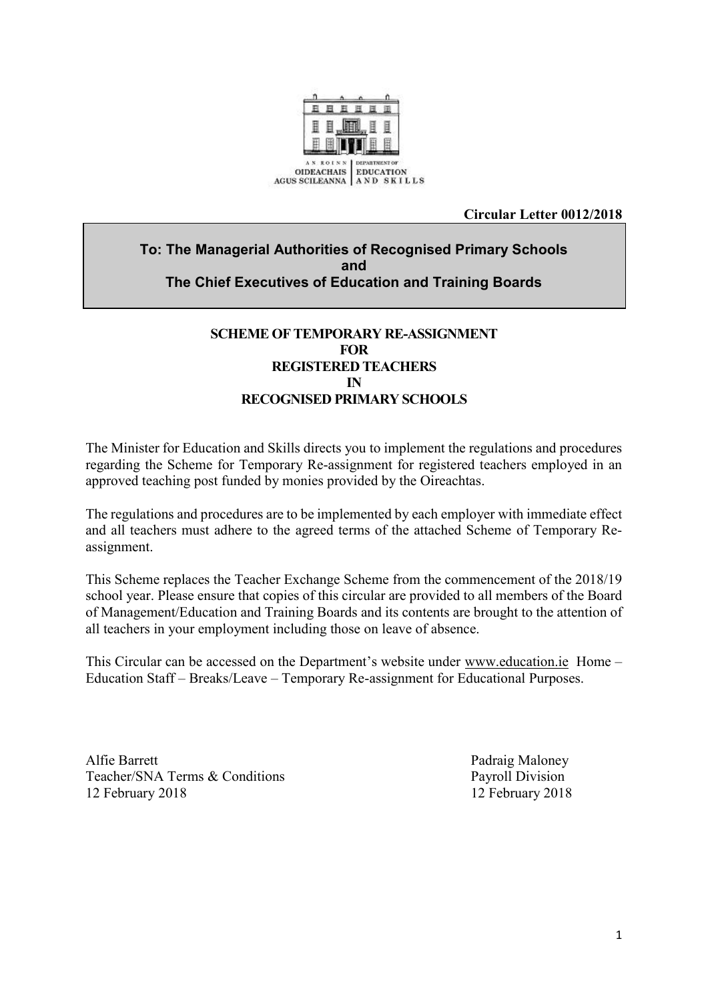

#### **Circular Letter 0012/2018**

## **To: The Managerial Authorities of Recognised Primary Schools and The Chief Executives of Education and Training Boards**

## **SCHEME OF TEMPORARY RE-ASSIGNMENT FOR REGISTERED TEACHERS IN RECOGNISED PRIMARY SCHOOLS**

The Minister for Education and Skills directs you to implement the regulations and procedures regarding the Scheme for Temporary Re-assignment for registered teachers employed in an approved teaching post funded by monies provided by the Oireachtas.

The regulations and procedures are to be implemented by each employer with immediate effect and all teachers must adhere to the agreed terms of the attached Scheme of Temporary Reassignment.

This Scheme replaces the Teacher Exchange Scheme from the commencement of the 2018/19 school year. Please ensure that copies of this circular are provided to all members of the Board of Management/Education and Training Boards and its contents are brought to the attention of all teachers in your employment including those on leave of absence.

This Circular can be accessed on the Department's website under [www.education.ie](http://www.education.ie/) Home – Education Staff – Breaks/Leave – Temporary Re-assignment for Educational Purposes.

Alfie Barrett Padraig Maloney Teacher/SNA Terms & Conditions Payroll Division 12 February 2018 12 February 2018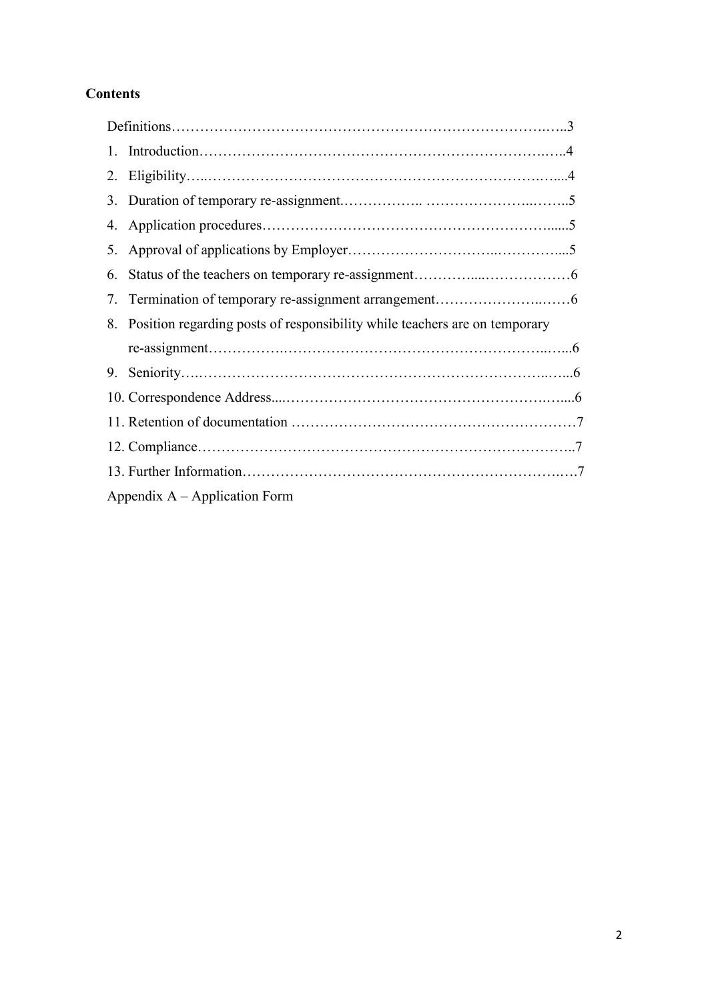# **Contents**

| 2. |                                                                               |  |
|----|-------------------------------------------------------------------------------|--|
|    |                                                                               |  |
| 4. |                                                                               |  |
| 5. |                                                                               |  |
| 6. |                                                                               |  |
| 7  |                                                                               |  |
|    | 8. Position regarding posts of responsibility while teachers are on temporary |  |
|    |                                                                               |  |
|    |                                                                               |  |
|    |                                                                               |  |
|    |                                                                               |  |
|    |                                                                               |  |
|    |                                                                               |  |
|    | Appendix $A - Application Form$                                               |  |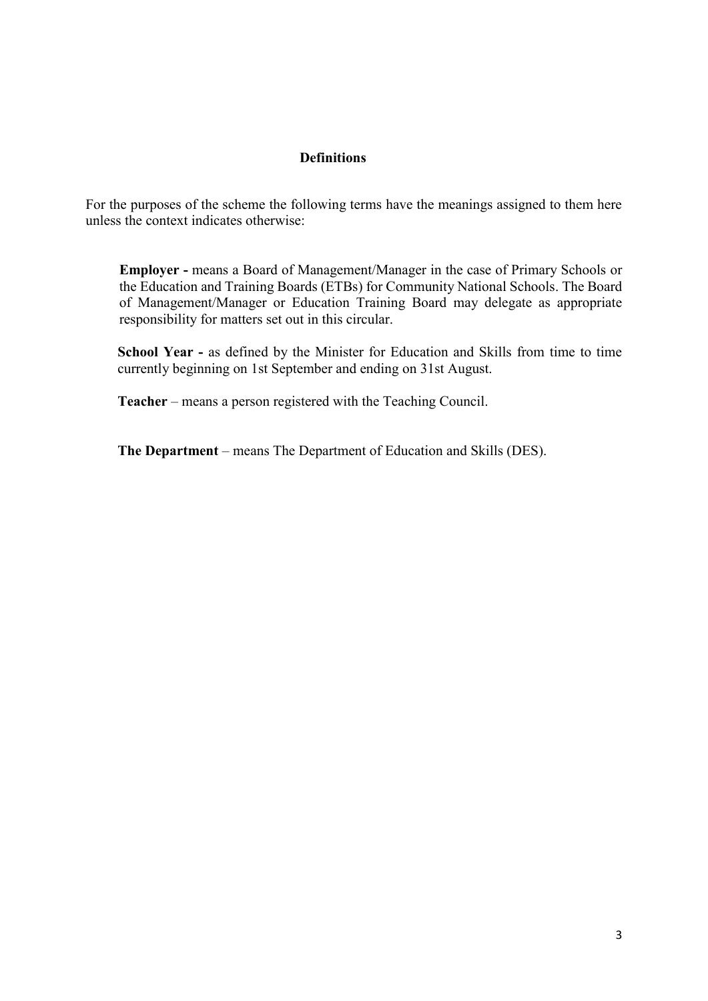#### **Definitions**

For the purposes of the scheme the following terms have the meanings assigned to them here unless the context indicates otherwise:

**Employer -** means a Board of Management/Manager in the case of Primary Schools or the Education and Training Boards (ETBs) for Community National Schools. The Board of Management/Manager or Education Training Board may delegate as appropriate responsibility for matters set out in this circular.

**School Year -** as defined by the Minister for Education and Skills from time to time currently beginning on 1st September and ending on 31st August.

**Teacher** – means a person registered with the Teaching Council.

**The Department** – means The Department of Education and Skills (DES).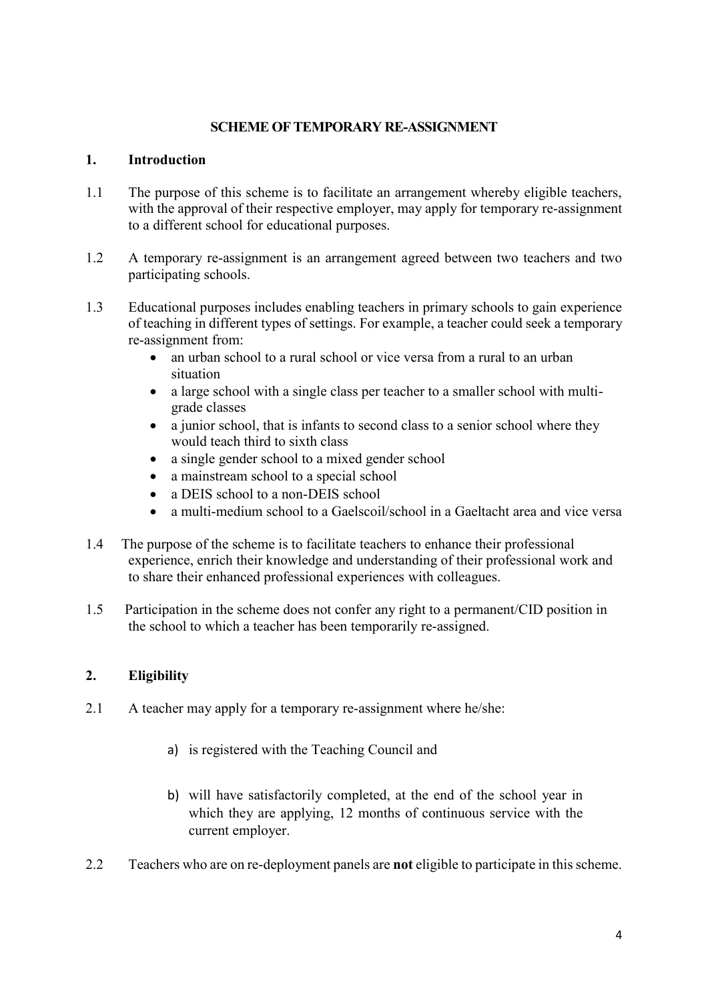#### **SCHEME OF TEMPORARY RE-ASSIGNMENT**

#### **1. Introduction**

- 1.1 The purpose of this scheme is to facilitate an arrangement whereby eligible teachers, with the approval of their respective employer, may apply for temporary re-assignment to a different school for educational purposes.
- 1.2 A temporary re-assignment is an arrangement agreed between two teachers and two participating schools.
- 1.3 Educational purposes includes enabling teachers in primary schools to gain experience of teaching in different types of settings. For example, a teacher could seek a temporary re-assignment from:
	- an urban school to a rural school or vice versa from a rural to an urban situation
	- a large school with a single class per teacher to a smaller school with multigrade classes
	- a junior school, that is infants to second class to a senior school where they would teach third to sixth class
	- a single gender school to a mixed gender school
	- a mainstream school to a special school
	- a DEIS school to a non-DEIS school
	- a multi-medium school to a Gaelscoil/school in a Gaeltacht area and vice versa
- 1.4 The purpose of the scheme is to facilitate teachers to enhance their professional experience, enrich their knowledge and understanding of their professional work and to share their enhanced professional experiences with colleagues.
- 1.5 Participation in the scheme does not confer any right to a permanent/CID position in the school to which a teacher has been temporarily re-assigned.

## **2. Eligibility**

- 2.1 A teacher may apply for a temporary re-assignment where he/she:
	- a) is registered with the Teaching Council and
	- b) will have satisfactorily completed, at the end of the school year in which they are applying, 12 months of continuous service with the current employer.
- 2.2 Teachers who are on re-deployment panels are **not** eligible to participate in this scheme.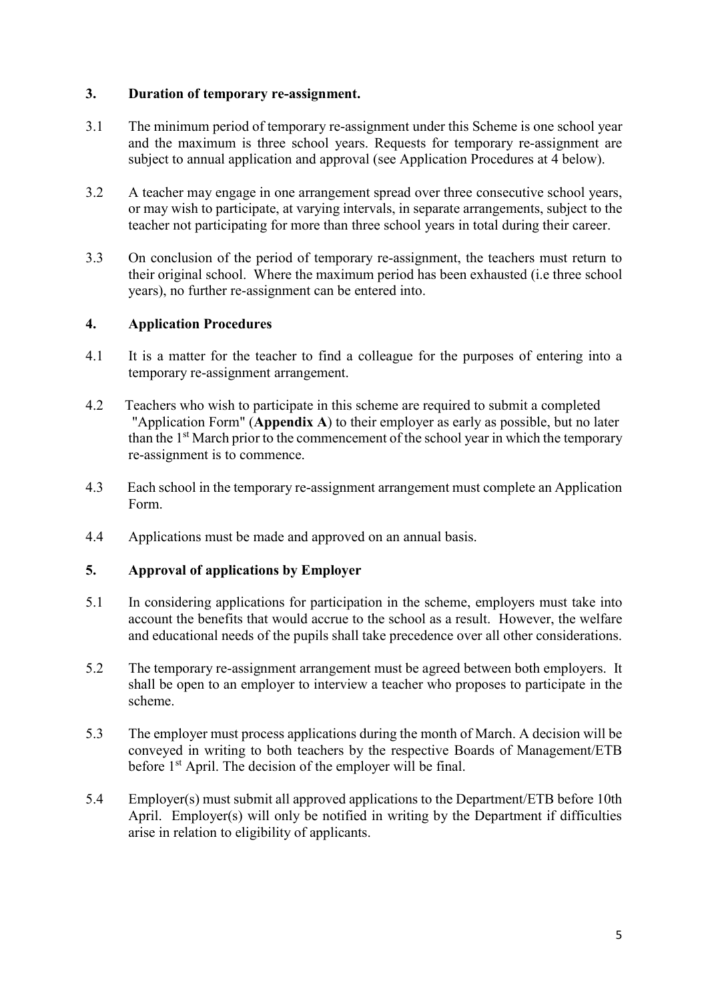#### **3. Duration of temporary re-assignment.**

- 3.1 The minimum period of temporary re-assignment under this Scheme is one school year and the maximum is three school years. Requests for temporary re-assignment are subject to annual application and approval (see Application Procedures at 4 below).
- 3.2 A teacher may engage in one arrangement spread over three consecutive school years, or may wish to participate, at varying intervals, in separate arrangements, subject to the teacher not participating for more than three school years in total during their career.
- 3.3 On conclusion of the period of temporary re-assignment, the teachers must return to their original school. Where the maximum period has been exhausted (i.e three school years), no further re-assignment can be entered into.

### **4. Application Procedures**

- 4.1 It is a matter for the teacher to find a colleague for the purposes of entering into a temporary re-assignment arrangement.
- 4.2 Teachers who wish to participate in this scheme are required to submit a completed "Application Form" (**Appendix A**) to their employer as early as possible, but no later than the 1st March prior to the commencement of the school year in which the temporary re-assignment is to commence.
- 4.3 Each school in the temporary re-assignment arrangement must complete an Application Form.
- 4.4 Applications must be made and approved on an annual basis.

### **5. Approval of applications by Employer**

- 5.1 In considering applications for participation in the scheme, employers must take into account the benefits that would accrue to the school as a result. However, the welfare and educational needs of the pupils shall take precedence over all other considerations.
- 5.2 The temporary re-assignment arrangement must be agreed between both employers. It shall be open to an employer to interview a teacher who proposes to participate in the scheme.
- 5.3 The employer must process applications during the month of March. A decision will be conveyed in writing to both teachers by the respective Boards of Management/ETB before 1<sup>st</sup> April. The decision of the employer will be final.
- 5.4 Employer(s) must submit all approved applications to the Department/ETB before 10th April. Employer(s) will only be notified in writing by the Department if difficulties arise in relation to eligibility of applicants.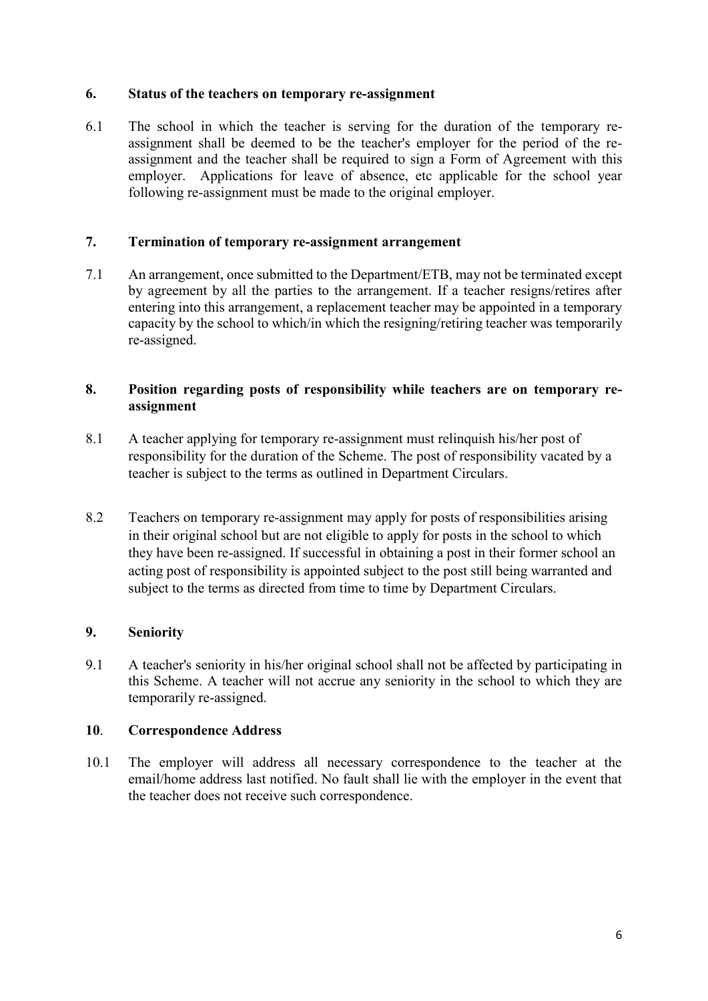#### **6. Status of the teachers on temporary re-assignment**

6.1 The school in which the teacher is serving for the duration of the temporary reassignment shall be deemed to be the teacher's employer for the period of the reassignment and the teacher shall be required to sign a Form of Agreement with this employer. Applications for leave of absence, etc applicable for the school year following re-assignment must be made to the original employer.

## **7. Termination of temporary re-assignment arrangement**

7.1 An arrangement, once submitted to the Department/ETB, may not be terminated except by agreement by all the parties to the arrangement. If a teacher resigns/retires after entering into this arrangement, a replacement teacher may be appointed in a temporary capacity by the school to which/in which the resigning/retiring teacher was temporarily re-assigned.

### **8. Position regarding posts of responsibility while teachers are on temporary reassignment**

- 8.1 A teacher applying for temporary re-assignment must relinquish his/her post of responsibility for the duration of the Scheme. The post of responsibility vacated by a teacher is subject to the terms as outlined in Department Circulars.
- 8.2 Teachers on temporary re-assignment may apply for posts of responsibilities arising in their original school but are not eligible to apply for posts in the school to which they have been re-assigned. If successful in obtaining a post in their former school an acting post of responsibility is appointed subject to the post still being warranted and subject to the terms as directed from time to time by Department Circulars.

## **9. Seniority**

9.1 A teacher's seniority in his/her original school shall not be affected by participating in this Scheme. A teacher will not accrue any seniority in the school to which they are temporarily re-assigned.

#### **10**. **Correspondence Address**

10.1 The employer will address all necessary correspondence to the teacher at the email/home address last notified. No fault shall lie with the employer in the event that the teacher does not receive such correspondence.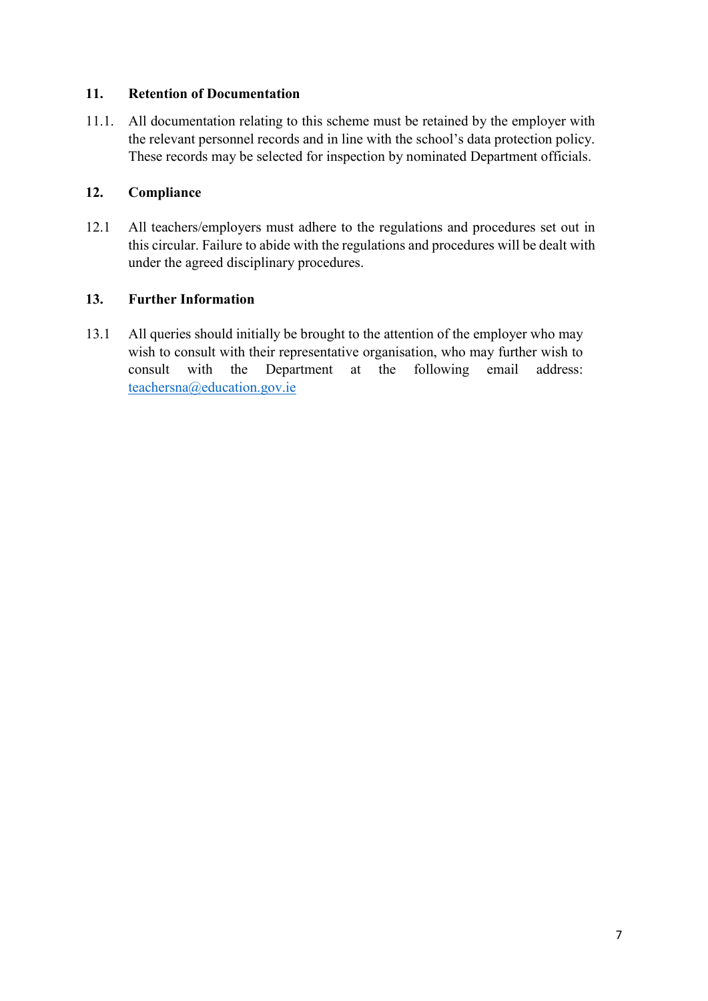### **11. Retention of Documentation**

11.1. All documentation relating to this scheme must be retained by the employer with the relevant personnel records and in line with the school's data protection policy. These records may be selected for inspection by nominated Department officials.

## **12. Compliance**

12.1 All teachers/employers must adhere to the regulations and procedures set out in this circular. Failure to abide with the regulations and procedures will be dealt with under the agreed disciplinary procedures.

#### **13. Further Information**

13.1 All queries should initially be brought to the attention of the employer who may wish to consult with their representative organisation, who may further wish to consult with the Department at the following email address: [teachersna@education.gov.ie](mailto:teachersna@education.gov.ie)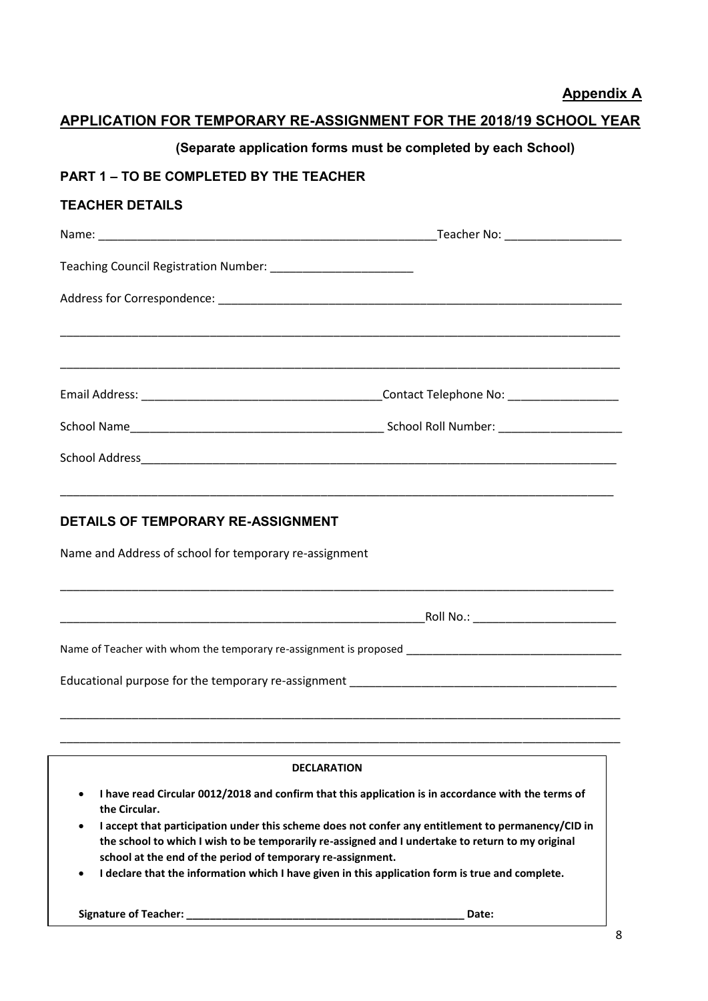**Appendix A**

## **APPLICATION FOR TEMPORARY RE-ASSIGNMENT FOR THE 2018/19 SCHOOL YEAR**

## **(Separate application forms must be completed by each School)**

## **PART 1 – TO BE COMPLETED BY THE TEACHER**

#### **TEACHER DETAILS**

|                                                                                                                      | _Teacher No: ________________________ |
|----------------------------------------------------------------------------------------------------------------------|---------------------------------------|
|                                                                                                                      |                                       |
|                                                                                                                      |                                       |
|                                                                                                                      |                                       |
|                                                                                                                      |                                       |
|                                                                                                                      |                                       |
|                                                                                                                      |                                       |
|                                                                                                                      |                                       |
|                                                                                                                      |                                       |
| <b>DETAILS OF TEMPORARY RE-ASSIGNMENT</b>                                                                            |                                       |
| Name and Address of school for temporary re-assignment                                                               |                                       |
|                                                                                                                      |                                       |
| Name of Teacher with whom the temporary re-assignment is proposed __________________________________                 |                                       |
|                                                                                                                      |                                       |
|                                                                                                                      |                                       |
| <b>DECLARATION</b>                                                                                                   |                                       |
| I have read Circular 0012/2018 and confirm that this application is in accordance with the terms of<br>the Circular. |                                       |

- **I accept that participation under this scheme does not confer any entitlement to permanency/CID in the school to which I wish to be temporarily re-assigned and I undertake to return to my original school at the end of the period of temporary re-assignment.**
- **I declare that the information which I have given in this application form is true and complete.**

 **Signature of Teacher: \_\_\_\_\_\_\_\_\_\_\_\_\_\_\_\_\_\_\_\_\_\_\_\_\_\_\_\_\_\_\_\_\_\_\_\_\_\_\_\_\_\_\_\_\_\_\_ Date:** 

**\_\_\_\_\_\_\_\_\_\_\_\_\_\_\_\_\_\_\_\_\_\_\_**